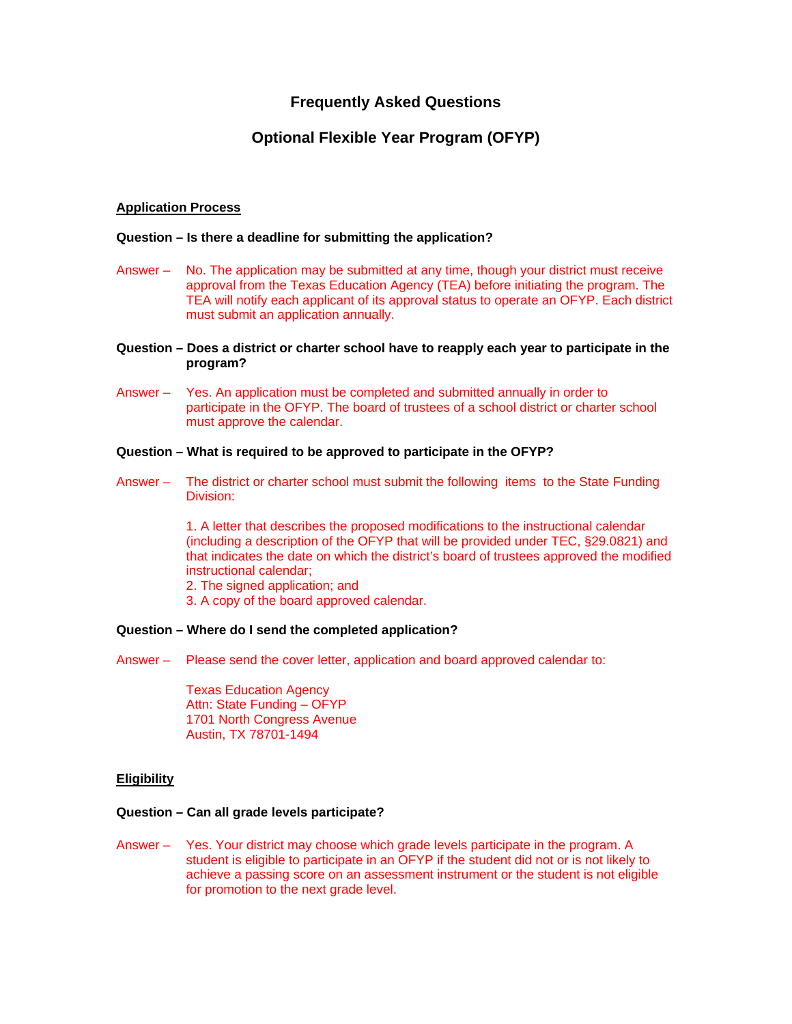# **Frequently Asked Questions**

# **Optional Flexible Year Program (OFYP)**

# **Application Process**

### **Question – Is there a deadline for submitting the application?**

- Answer No. The application may be submitted at any time, though your district must receive approval from the Texas Education Agency (TEA) before initiating the program. The TEA will notify each applicant of its approval status to operate an OFYP. Each district must submit an application annually.
- **Question Does a district or charter school have to reapply each year to participate in the program?**
- Answer Yes. An application must be completed and submitted annually in order to participate in the OFYP. The board of trustees of a school district or charter school must approve the calendar.

# **Question – What is required to be approved to participate in the OFYP?**

Answer – The district or charter school must submit the following items to the State Funding Division:

> 1. A letter that describes the proposed modifications to the instructional calendar (including a description of the OFYP that will be provided under TEC, §29.0821) and that indicates the date on which the district's board of trustees approved the modified instructional calendar;

- 2. The signed application; and
- 3. A copy of the board approved calendar.

#### **Question – Where do I send the completed application?**

Answer – Please send the cover letter, application and board approved calendar to:

 Texas Education Agency Attn: State Funding – OFYP 1701 North Congress Avenue Austin, TX 78701-1494

# **Eligibility**

### **Question – Can all grade levels participate?**

Answer – Yes. Your district may choose which grade levels participate in the program. A student is eligible to participate in an OFYP if the student did not or is not likely to achieve a passing score on an assessment instrument or the student is not eligible for promotion to the next grade level.